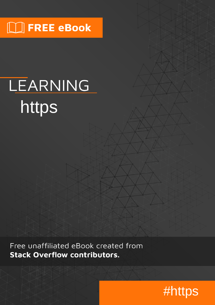# $\boxed{\phantom{1}}$  FREE eBook

# LEARNING https

Free unaffiliated eBook created from **Stack Overflow contributors.** 

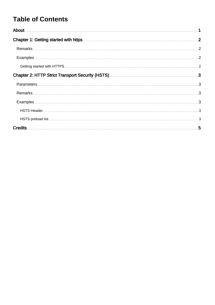### **Table of Contents**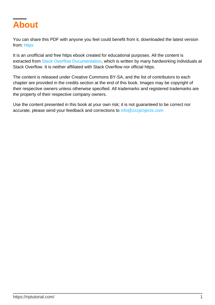<span id="page-2-0"></span>

You can share this PDF with anyone you feel could benefit from it, downloaded the latest version from: [https](http://riptutorial.com/ebook/https)

It is an unofficial and free https ebook created for educational purposes. All the content is extracted from [Stack Overflow Documentation,](https://archive.org/details/documentation-dump.7z) which is written by many hardworking individuals at Stack Overflow. It is neither affiliated with Stack Overflow nor official https.

The content is released under Creative Commons BY-SA, and the list of contributors to each chapter are provided in the credits section at the end of this book. Images may be copyright of their respective owners unless otherwise specified. All trademarks and registered trademarks are the property of their respective company owners.

Use the content presented in this book at your own risk; it is not guaranteed to be correct nor accurate, please send your feedback and corrections to [info@zzzprojects.com](mailto:info@zzzprojects.com)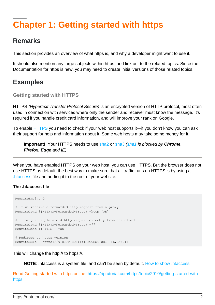# <span id="page-3-0"></span>**Chapter 1: Getting started with https**

### <span id="page-3-1"></span>**Remarks**

This section provides an overview of what https is, and why a developer might want to use it.

It should also mention any large subjects within https, and link out to the related topics. Since the Documentation for https is new, you may need to create initial versions of those related topics.

### <span id="page-3-2"></span>**Examples**

#### <span id="page-3-3"></span>**Getting started with HTTPS**

HTTPS (Hypertext Transfer Protocol Secure) is an encrypted version of HTTP protocol, most often used in connection with services where only the sender and receiver must know the message. It's required if you handle credit card information, and will improve your rank on Google.

To enable [HTTPS](https://da.wikipedia.org/wiki/HTTPS) you need to check if your web host supports it—if you don't know you can ask their support for help and information about it. Some web hosts may take some money for it.

**Important!**: Your HTTPS needs to use [sha2](https://en.wikipedia.org/wiki/SHA-2) or [sha3](https://en.wikipedia.org/wiki/SHA-3) [\(sha1](https://en.wikipedia.org/wiki/SHA-1) is blocked by **Chrome**, **Firefox**, **Edge** and **IE**)

When you have enabled HTTPS on your web host, you can use HTTPS. But the browser does not use HTTPS as default; the best way to make sure that all traffic runs on HTTPS is by using a [.htaccess](http://stackoverflow.com/questions/13170819/what-is-htaccess-file) file and adding it to the root of your website.

#### **The .htaccess file**

```
RewriteEngine On
# If we receive a forwarded http request from a proxy...
RewriteCond %{HTTP:X-Forwarded-Proto} =http [OR]
# ...or just a plain old http request directly from the client
RewriteCond %{HTTP:X-Forwarded-Proto} =""
RewriteCond %{HTTPS} !=on
# Redirect to https version
RewriteRule ^ https://%{HTTP_HOST}%{REQUEST_URI} [L,R=301]
```
This will change the http:// to https://.

**NOTE**: .htaccess is a system file, and can't be seen by default. [How to show .htaccess](http://www.temi.co.uk/how-to-view-htaccess-file-and-other-hidden-files-on-windows-pc/)

Read Getting started with https online: [https://riptutorial.com/https/topic/2910/getting-started-with](https://riptutorial.com/https/topic/2910/getting-started-with-https)[https](https://riptutorial.com/https/topic/2910/getting-started-with-https)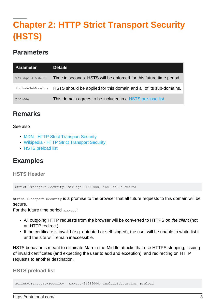# <span id="page-4-0"></span>**Chapter 2: HTTP Strict Transport Security (HSTS)**

### <span id="page-4-1"></span>**Parameters**

| Parameter         | <b>Details</b>                                                      |
|-------------------|---------------------------------------------------------------------|
| max-age=31536000  | Time in seconds. HSTS will be enforced for this future time period. |
| includeSubDomains | HSTS should be applied for this domain and all of its sub-domains.  |
| preload           | This domain agrees to be included in a HSTS pre-load list           |

### <span id="page-4-2"></span>**Remarks**

#### See also

- [MDN HTTP Strict Transport Security](https://developer.mozilla.org/en-US/docs/Web/Security/HTTP_strict_transport_security)
- [Wikipedia HTTP Strict Transport Security](https://en.wikipedia.org/wiki/HTTP_Strict_Transport_Security)
- [HSTS preload list](https://hstspreload.appspot.com/)

### <span id="page-4-3"></span>**Examples**

#### <span id="page-4-4"></span>**HSTS Header**

Strict-Transport-Security: max-age=31536000; includeSubDomains

Strict-Transport-Security is a promise to the browser that all future requests to this domain will be secure.

For the future time period max-age:

- All outgoing HTTP requests from the browser will be converted to HTTPS on the client (not an HTTP redirect).
- If the certificate is invalid (e.g. outdated or self-singed), the user will be unable to white-list it and the site will remain inaccessible.

HSTS behavior is meant to eliminate Man-in-the-Middle attacks that use HTTPS stripping, issuing of invalid certificates (and expecting the user to add and exception), and redirecting on HTTP requests to another destination.

<span id="page-4-5"></span>**HSTS preload list**

Strict-Transport-Security: max-age=31536000; includeSubDomains; preload

https://riptutorial.com/ 3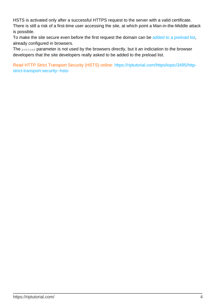HSTS is activated only after a successful HTTPS request to the server with a valid certificate. There is still a risk of a first-time user accessing the site, at which point a Man-in-the-Middle attack is possible.

To make the site secure even before the first request the domain can be [added to a preload list](https://hstspreload.appspot.com/), already configured in browsers.

The preload parameter is not used by the browsers directly, but it an indiciation to the browser developers that the site developers really asked to be added to the preload list.

Read HTTP Strict Transport Security (HSTS) online: [https://riptutorial.com/https/topic/3495/http](https://riptutorial.com/https/topic/3495/http-strict-transport-security--hsts-)[strict-transport-security--hsts-](https://riptutorial.com/https/topic/3495/http-strict-transport-security--hsts-)